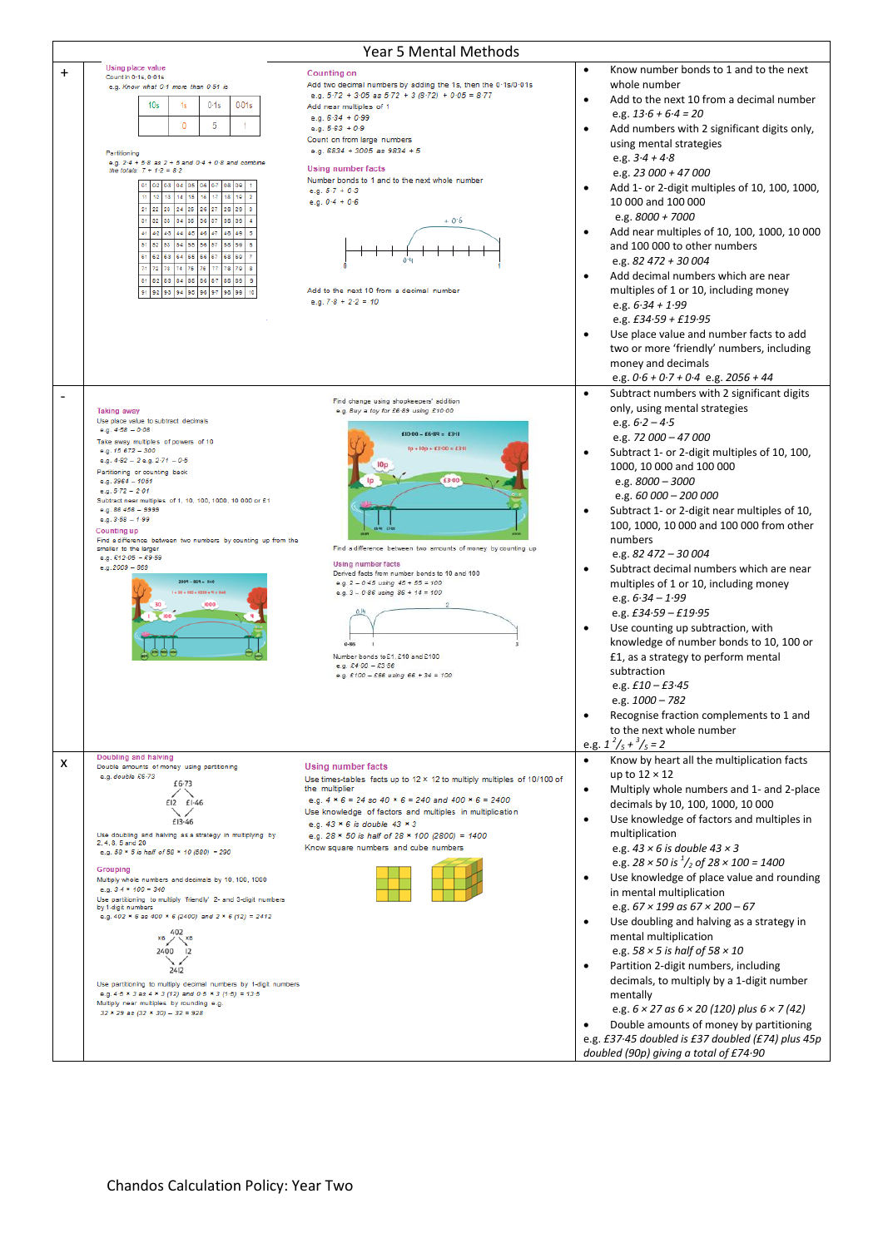